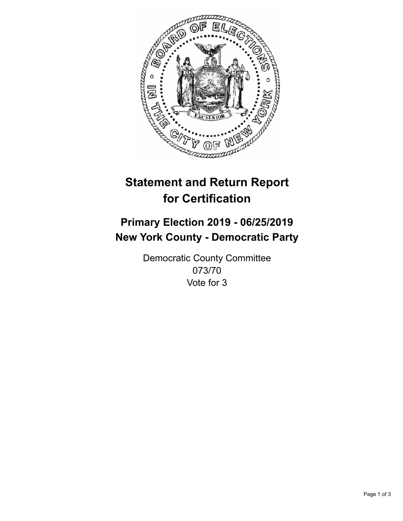

## **Statement and Return Report for Certification**

## **Primary Election 2019 - 06/25/2019 New York County - Democratic Party**

Democratic County Committee 073/70 Vote for 3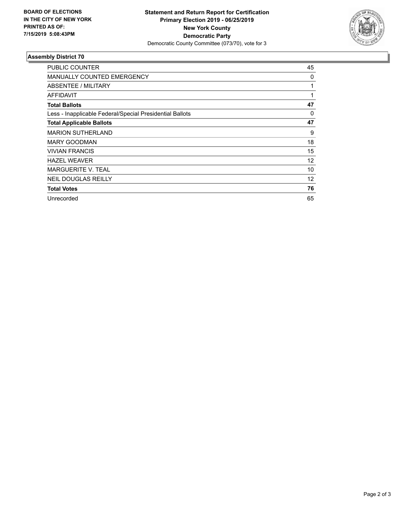

## **Assembly District 70**

| <b>PUBLIC COUNTER</b>                                    | 45 |
|----------------------------------------------------------|----|
| <b>MANUALLY COUNTED EMERGENCY</b>                        | 0  |
| ABSENTEE / MILITARY                                      | 1  |
| AFFIDAVIT                                                | 1  |
| <b>Total Ballots</b>                                     | 47 |
| Less - Inapplicable Federal/Special Presidential Ballots | 0  |
| <b>Total Applicable Ballots</b>                          | 47 |
| <b>MARION SUTHERLAND</b>                                 | 9  |
| <b>MARY GOODMAN</b>                                      | 18 |
| <b>VIVIAN FRANCIS</b>                                    | 15 |
| <b>HAZEL WEAVER</b>                                      | 12 |
| <b>MARGUERITE V. TEAL</b>                                | 10 |
| <b>NEIL DOUGLAS REILLY</b>                               | 12 |
| <b>Total Votes</b>                                       | 76 |
| Unrecorded                                               | 65 |